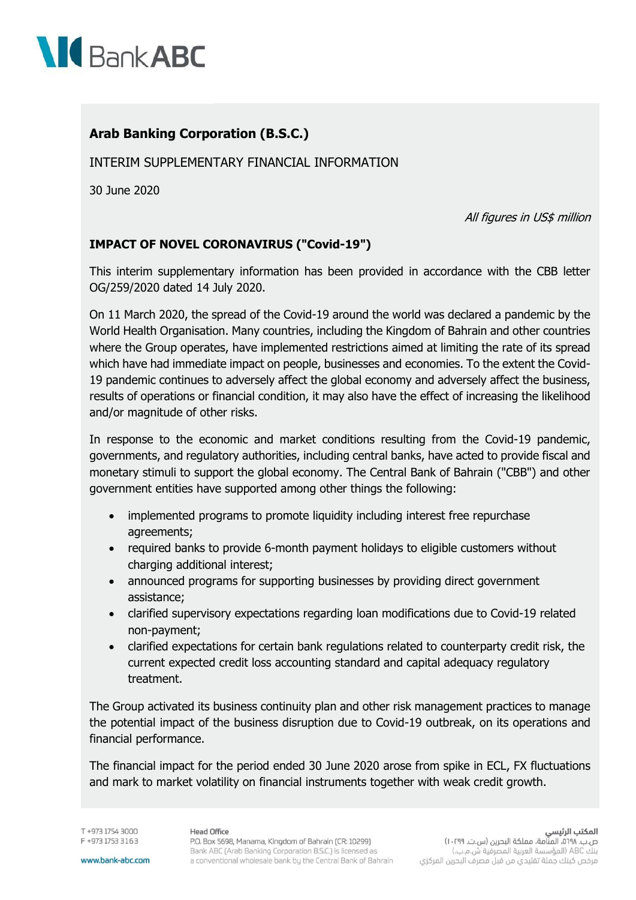

## **Arab Banking Corporation (B.S.C.)**

INTERIM SUPPLEMENTARY FINANCIAL INFORMATION

30 June 2020

All figures in US\$ million

## **IMPACT OF NOVEL CORONAVIRUS ("Covid-19")**

This interim supplementary information has been provided in accordance with the CBB letter OG/259/2020 dated 14 July 2020.

On 11 March 2020, the spread of the Covid-19 around the world was declared a pandemic by the World Health Organisation. Many countries, including the Kingdom of Bahrain and other countries where the Group operates, have implemented restrictions aimed at limiting the rate of its spread which have had immediate impact on people, businesses and economies. To the extent the Covid-19 pandemic continues to adversely affect the global economy and adversely affect the business, results of operations or financial condition, it may also have the effect of increasing the likelihood and/or magnitude of other risks.

In response to the economic and market conditions resulting from the Covid-19 pandemic, governments, and regulatory authorities, including central banks, have acted to provide fiscal and monetary stimuli to support the global economy. The Central Bank of Bahrain ("CBB") and other government entities have supported among other things the following:

- implemented programs to promote liquidity including interest free repurchase agreements;
- required banks to provide 6-month payment holidays to eligible customers without charging additional interest;
- announced programs for supporting businesses by providing direct government assistance;
- clarified supervisory expectations regarding loan modifications due to Covid-19 related non-payment;
- clarified expectations for certain bank regulations related to counterparty credit risk, the current expected credit loss accounting standard and capital adequacy regulatory treatment.

The Group activated its business continuity plan and other risk management practices to manage the potential impact of the business disruption due to Covid-19 outbreak, on its operations and financial performance.

The financial impact for the period ended 30 June 2020 arose from spike in ECL, FX fluctuations and mark to market volatility on financial instruments together with weak credit growth.

T +973 1754 3000 F +973 1753 3163 **Head Office** 

## **المكتب الرئيسي**<br>ص.ب. ١٦٩٨، المنامة، مملكة البحرين (س.ت. ١٠٢٩٩) بنك ABC (المؤسسة العربية المصرفية ش.م.ب.) مرخص كبنك جملة تقليدي من قبل مصرف البحرين المركزي

www.bank-abc.com